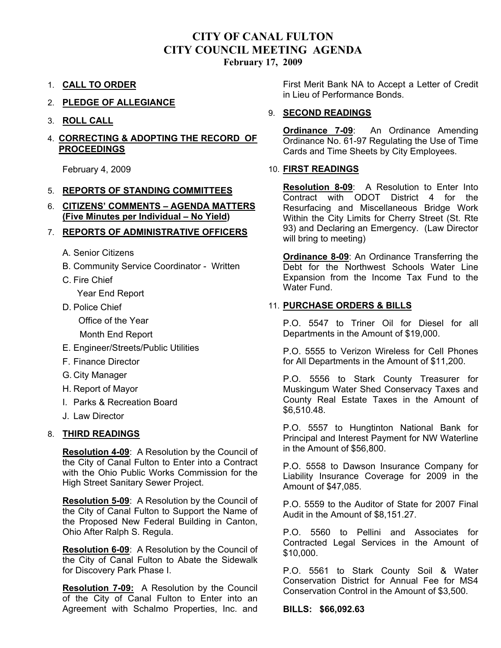# **CITY OF CANAL FULTON CITY COUNCIL MEETING AGENDA**

**February 17, 2009** 

- 1. **CALL TO ORDER**
- 2. **PLEDGE OF ALLEGIANCE**
- 3. **ROLL CALL**

#### 4. **CORRECTING & ADOPTING THE RECORD OF PROCEEDINGS**

February 4, 2009

# 5. **REPORTS OF STANDING COMMITTEES**

6. **CITIZENS' COMMENTS – AGENDA MATTERS (Five Minutes per Individual – No Yield)**

# 7. **REPORTS OF ADMINISTRATIVE OFFICERS**

- A. Senior Citizens
- B. Community Service Coordinator Written
- C. Fire Chief

Year End Report

D. Police Chief

Office of the Year

Month End Report

- E. Engineer/Streets/Public Utilities
- F. Finance Director
- G. City Manager
- H. Report of Mayor
- I. Parks & Recreation Board
- J. Law Director

# 8. **THIRD READINGS**

**Resolution 4-09**: A Resolution by the Council of the City of Canal Fulton to Enter into a Contract with the Ohio Public Works Commission for the High Street Sanitary Sewer Project.

**Resolution 5-09**: A Resolution by the Council of the City of Canal Fulton to Support the Name of the Proposed New Federal Building in Canton, Ohio After Ralph S. Regula.

**Resolution 6-09**: A Resolution by the Council of the City of Canal Fulton to Abate the Sidewalk for Discovery Park Phase I.

**Resolution 7-09:** A Resolution by the Council of the City of Canal Fulton to Enter into an Agreement with Schalmo Properties, Inc. and

First Merit Bank NA to Accept a Letter of Credit in Lieu of Performance Bonds.

#### 9. **SECOND READINGS**

**Ordinance 7-09:** An Ordinance Amending Ordinance No. 61-97 Regulating the Use of Time Cards and Time Sheets by City Employees.

#### 10. **FIRST READINGS**

**Resolution 8-09**: A Resolution to Enter Into Contract with ODOT District 4 for the Resurfacing and Miscellaneous Bridge Work Within the City Limits for Cherry Street (St. Rte 93) and Declaring an Emergency. (Law Director will bring to meeting)

**Ordinance 8-09**: An Ordinance Transferring the Debt for the Northwest Schools Water Line Expansion from the Income Tax Fund to the Water Fund.

# 11. **PURCHASE ORDERS & BILLS**

P.O. 5547 to Triner Oil for Diesel for all Departments in the Amount of \$19,000.

P.O. 5555 to Verizon Wireless for Cell Phones for All Departments in the Amount of \$11,200.

P.O. 5556 to Stark County Treasurer for Muskingum Water Shed Conservacy Taxes and County Real Estate Taxes in the Amount of \$6,510.48.

P.O. 5557 to Hungtinton National Bank for Principal and Interest Payment for NW Waterline in the Amount of \$56,800.

P.O. 5558 to Dawson Insurance Company for Liability Insurance Coverage for 2009 in the Amount of \$47,085.

P.O. 5559 to the Auditor of State for 2007 Final Audit in the Amount of \$8,151.27.

P.O. 5560 to Pellini and Associates for Contracted Legal Services in the Amount of \$10,000.

P.O. 5561 to Stark County Soil & Water Conservation District for Annual Fee for MS4 Conservation Control in the Amount of \$3,500.

**BILLS: \$66,092.63**